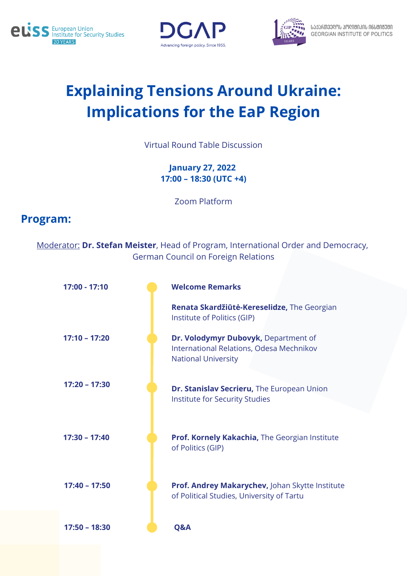





## **Explaining Tensions Around Ukraine: Implications for the EaP Region**

Virtual Round Table Discussion

**January 27, 2022 17:00 – 18:30 (UTC +4)**

Zoom Platform

## **Program:**

Moderator: **Dr. Stefan Meister**, Head of Program, International Order and Democracy, German Council on Foreign Relations

| 17:00 - 17:10   | <b>Welcome Remarks</b>                                                                                         |
|-----------------|----------------------------------------------------------------------------------------------------------------|
|                 | Renata Skardžiūtė-Kereselidze, The Georgian<br>Institute of Politics (GIP)                                     |
| $17:10 - 17:20$ | Dr. Volodymyr Dubovyk, Department of<br>International Relations, Odesa Mechnikov<br><b>National University</b> |
| $17:20 - 17:30$ | Dr. Stanislav Secrieru, The European Union<br>Institute for Security Studies                                   |
| $17:30 - 17:40$ | Prof. Kornely Kakachia, The Georgian Institute<br>of Politics (GIP)                                            |
| $17:40 - 17:50$ | Prof. Andrey Makarychev, Johan Skytte Institute<br>of Political Studies, University of Tartu                   |
| $17:50 - 18:30$ | Q&A                                                                                                            |